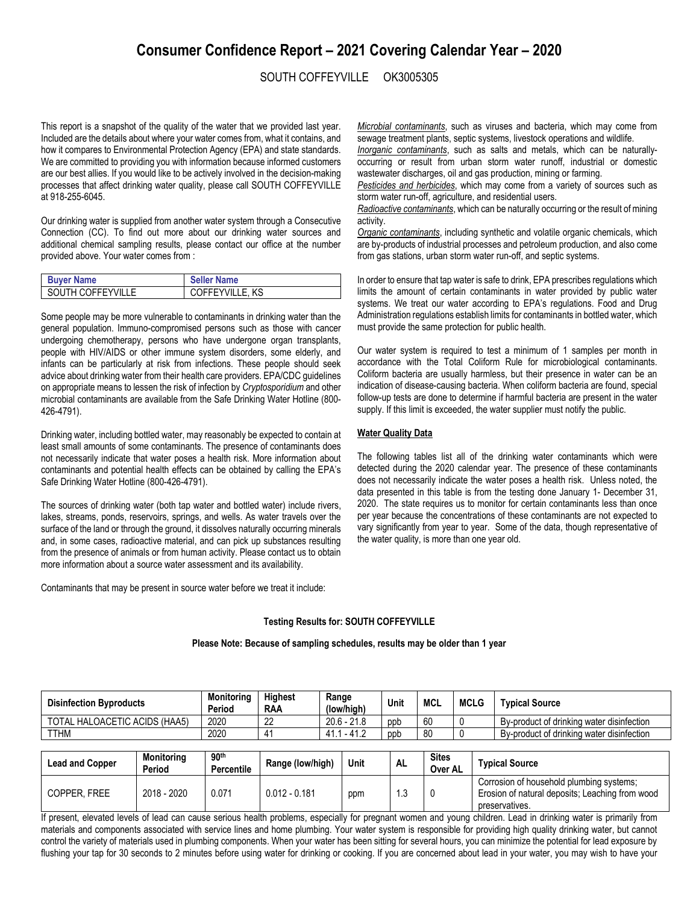# **Consumer Confidence Report – 2021 Covering Calendar Year – 2020**

## SOUTH COFFEYVILLE OK3005305

This report is a snapshot of the quality of the water that we provided last year. Included are the details about where your water comes from, what it contains, and how it compares to Environmental Protection Agency (EPA) and state standards. We are committed to providing you with information because informed customers are our best allies. If you would like to be actively involved in the decision-making processes that affect drinking water quality, please call SOUTH COFFEYVILLE at 918-255-6045.

Our drinking water is supplied from another water system through a Consecutive Connection (CC). To find out more about our drinking water sources and additional chemical sampling results, please contact our office at the number provided above. Your water comes from :

| <b>Buyer Name</b> | <b>Seller Name</b> |
|-------------------|--------------------|
| SOUTH COFFEYVILLE | COFFEYVILLE, KS    |

Some people may be more vulnerable to contaminants in drinking water than the general population. Immuno-compromised persons such as those with cancer undergoing chemotherapy, persons who have undergone organ transplants, people with HIV/AIDS or other immune system disorders, some elderly, and infants can be particularly at risk from infections. These people should seek advice about drinking water from their health care providers. EPA/CDC guidelines on appropriate means to lessen the risk of infection by *Cryptosporidium* and other microbial contaminants are available from the Safe Drinking Water Hotline (800- 426-4791).

Drinking water, including bottled water, may reasonably be expected to contain at least small amounts of some contaminants. The presence of contaminants does not necessarily indicate that water poses a health risk. More information about contaminants and potential health effects can be obtained by calling the EPA's Safe Drinking Water Hotline (800-426-4791).

The sources of drinking water (both tap water and bottled water) include rivers, lakes, streams, ponds, reservoirs, springs, and wells. As water travels over the surface of the land or through the ground, it dissolves naturally occurring minerals and, in some cases, radioactive material, and can pick up substances resulting from the presence of animals or from human activity. Please contact us to obtain more information about a source water assessment and its availability.

Contaminants that may be present in source water before we treat it include:

*Microbial contaminants*, such as viruses and bacteria, which may come from sewage treatment plants, septic systems, livestock operations and wildlife.

*Inorganic contaminants*, such as salts and metals, which can be naturallyoccurring or result from urban storm water runoff, industrial or domestic wastewater discharges, oil and gas production, mining or farming.

*Pesticides and herbicides*, which may come from a variety of sources such as storm water run-off, agriculture, and residential users.

*Radioactive contaminants*, which can be naturally occurring or the result of mining activity.

*Organic contaminants*, including synthetic and volatile organic chemicals, which are by-products of industrial processes and petroleum production, and also come from gas stations, urban storm water run-off, and septic systems.

In order to ensure that tap water is safe to drink, EPA prescribes regulations which limits the amount of certain contaminants in water provided by public water systems. We treat our water according to EPA's regulations. Food and Drug Administration regulations establish limits for contaminants in bottled water, which must provide the same protection for public health.

Our water system is required to test a minimum of 1 samples per month in accordance with the Total Coliform Rule for microbiological contaminants. Coliform bacteria are usually harmless, but their presence in water can be an indication of disease-causing bacteria. When coliform bacteria are found, special follow-up tests are done to determine if harmful bacteria are present in the water supply. If this limit is exceeded, the water supplier must notify the public.

#### **Water Quality Data**

The following tables list all of the drinking water contaminants which were detected during the 2020 calendar year. The presence of these contaminants does not necessarily indicate the water poses a health risk. Unless noted, the data presented in this table is from the testing done January 1- December 31, 2020. The state requires us to monitor for certain contaminants less than once per year because the concentrations of these contaminants are not expected to vary significantly from year to year. Some of the data, though representative of the water quality, is more than one year old.

### **Testing Results for: SOUTH COFFEYVILLE**

#### **Please Note: Because of sampling schedules, results may be older than 1 year**

| <b>Disinfection Byproducts</b> | <b>Monitoring</b><br>Period | <b>Highest</b><br><b>RAA</b> | Range<br>(low/high) | Unit | MCL | <b>MCLG</b> | Tvpical Source                            |
|--------------------------------|-----------------------------|------------------------------|---------------------|------|-----|-------------|-------------------------------------------|
| TOTAL HALOACETIC ACIDS (HAA5)  | 2020                        | nn<br><u>__</u>              | $20.6 - 21.8$       | ppb  | 60  |             | By-product of drinking water disinfection |
| <b>TTHM</b>                    | 2020                        |                              | $-41.2$<br>-41. .   | ppb  | 80  |             | By-product of drinking water disinfection |

| <b>Lead and Copper</b> | <b>Monitoring</b><br>Period | 90 <sup>th</sup><br><b>Percentile</b> | Range (low/high) | Unit | <b>AL</b> | <b>Sites</b><br>Over AL | <b>Tvpical Source</b>                                                                                         |
|------------------------|-----------------------------|---------------------------------------|------------------|------|-----------|-------------------------|---------------------------------------------------------------------------------------------------------------|
| COPPER, FREE           | 2018 - 2020                 | 0.071                                 | $0.012 - 0.181$  | ppm  | ں. ا      |                         | Corrosion of household plumbing systems;<br>Erosion of natural deposits; Leaching from wood<br>preservatives. |

If present, elevated levels of lead can cause serious health problems, especially for pregnant women and young children. Lead in drinking water is primarily from materials and components associated with service lines and home plumbing. Your water system is responsible for providing high quality drinking water, but cannot control the variety of materials used in plumbing components. When your water has been sitting for several hours, you can minimize the potential for lead exposure by flushing your tap for 30 seconds to 2 minutes before using water for drinking or cooking. If you are concerned about lead in your water, you may wish to have your